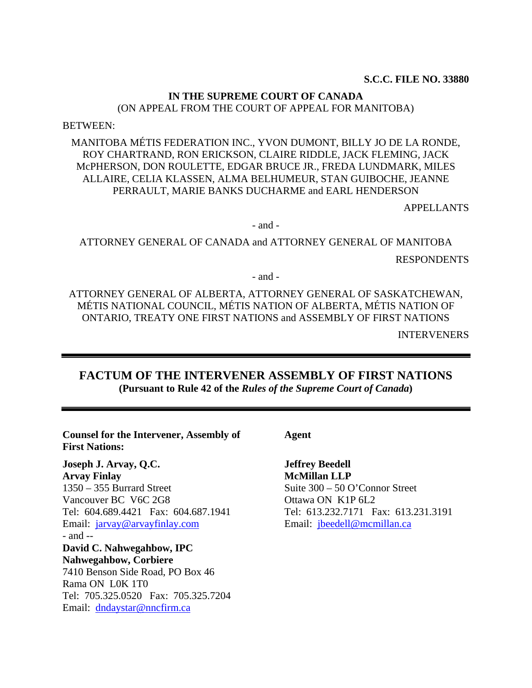#### **S.C.C. FILE NO. 33880**

### **IN THE SUPREME COURT OF CANADA**

(ON APPEAL FROM THE COURT OF APPEAL FOR MANITOBA)

BETWEEN:

MANITOBA MÉTIS FEDERATION INC., YVON DUMONT, BILLY JO DE LA RONDE, ROY CHARTRAND, RON ERICKSON, CLAIRE RIDDLE, JACK FLEMING, JACK McPHERSON, DON ROULETTE, EDGAR BRUCE JR., FREDA LUNDMARK, MILES ALLAIRE, CELIA KLASSEN, ALMA BELHUMEUR, STAN GUIBOCHE, JEANNE PERRAULT, MARIE BANKS DUCHARME and EARL HENDERSON

APPELLANTS

- and -

ATTORNEY GENERAL OF CANADA and ATTORNEY GENERAL OF MANITOBA RESPONDENTS

- and -

ATTORNEY GENERAL OF ALBERTA, ATTORNEY GENERAL OF SASKATCHEWAN, MÉTIS NATIONAL COUNCIL, MÉTIS NATION OF ALBERTA, MÉTIS NATION OF ONTARIO, TREATY ONE FIRST NATIONS and ASSEMBLY OF FIRST NATIONS

INTERVENERS

**FACTUM OF THE INTERVENER ASSEMBLY OF FIRST NATIONS (Pursuant to Rule 42 of the** *Rules of the Supreme Court of Canada***)** 

**Counsel for the Intervener, Assembly of First Nations:** 

**Joseph J. Arvay, Q.C. Arvay Finlay**  1350 – 355 Burrard Street Vancouver BC V6C 2G8 Tel: 604.689.4421 Fax: 604.687.1941 Email: jarvay@arvayfinlay.com - and -- **David C. Nahwegahbow, IPC Nahwegahbow, Corbiere**  7410 Benson Side Road, PO Box 46 Rama ON L0K 1T0 Tel: 705.325.0520 Fax: 705.325.7204 Email: dndaystar@nncfirm.ca

**Agent** 

**Jeffrey Beedell McMillan LLP** Suite 300 – 50 O'Connor Street Ottawa ON K1P 6L2 Tel: 613.232.7171 Fax: 613.231.3191 Email: jbeedell@mcmillan.ca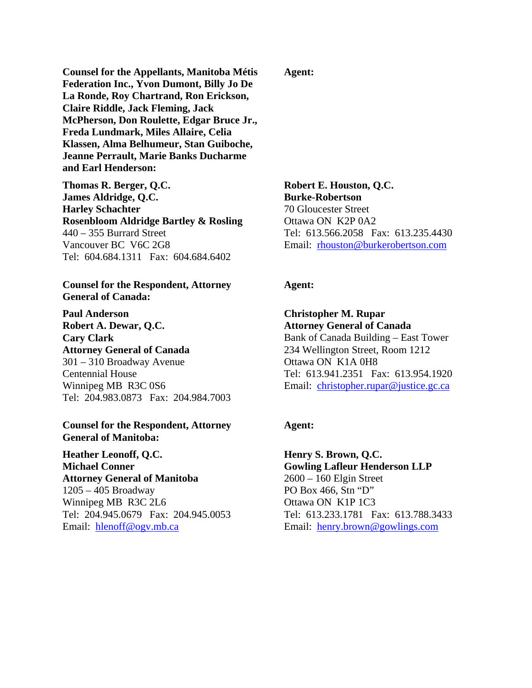**Counsel for the Appellants, Manitoba Métis Federation Inc., Yvon Dumont, Billy Jo De La Ronde, Roy Chartrand, Ron Erickson, Claire Riddle, Jack Fleming, Jack McPherson, Don Roulette, Edgar Bruce Jr., Freda Lundmark, Miles Allaire, Celia Klassen, Alma Belhumeur, Stan Guiboche, Jeanne Perrault, Marie Banks Ducharme and Earl Henderson:** 

**Thomas R. Berger, Q.C. James Aldridge, Q.C. Harley Schachter Rosenbloom Aldridge Bartley & Rosling**  440 – 355 Burrard Street Vancouver BC V6C 2G8 Tel: 604.684.1311 Fax: 604.684.6402

### **Counsel for the Respondent, Attorney General of Canada:**

**Paul Anderson Robert A. Dewar, Q.C. Cary Clark Attorney General of Canada**  301 – 310 Broadway Avenue Centennial House Winnipeg MB R3C 0S6 Tel: 204.983.0873 Fax: 204.984.7003

#### **Counsel for the Respondent, Attorney General of Manitoba:**

**Heather Leonoff, Q.C. Michael Conner Attorney General of Manitoba**  1205 – 405 Broadway Winnipeg MB R3C 2L6 Tel: 204.945.0679 Fax: 204.945.0053 Email: hlenoff@ogv.mb.ca

### **Agent:**

 **Robert E. Houston, Q.C. Burke-Robertson**  70 Gloucester Street Ottawa ON K2P 0A2 Tel: 613.566.2058 Fax: 613.235.4430 Email: rhouston@burkerobertson.com

#### **Agent:**

**Christopher M. Rupar Attorney General of Canada**  Bank of Canada Building – East Tower 234 Wellington Street, Room 1212 Ottawa ON K1A 0H8 Tel: 613.941.2351 Fax: 613.954.1920 Email: christopher.rupar@justice.gc.ca

### **Agent:**

**Henry S. Brown, Q.C. Gowling Lafleur Henderson LLP**  2600 – 160 Elgin Street PO Box 466, Stn "D" Ottawa ON K1P 1C3 Tel: 613.233.1781 Fax: 613.788.3433 Email: henry.brown@gowlings.com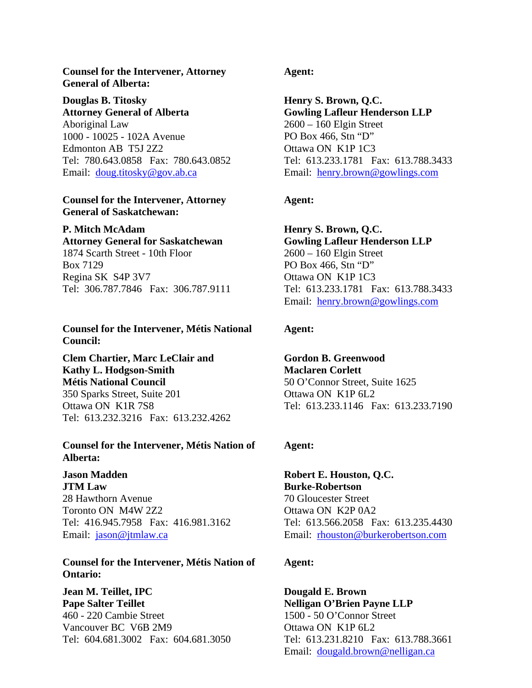### **Counsel for the Intervener, Attorney General of Alberta:**

**Douglas B. Titosky Attorney General of Alberta**  Aboriginal Law 1000 - 10025 - 102A Avenue Edmonton AB T5J 2Z2 Tel: 780.643.0858 Fax: 780.643.0852 Email: doug.titosky@gov.ab.ca

### **Counsel for the Intervener, Attorney General of Saskatchewan:**

### **P. Mitch McAdam**

**Attorney General for Saskatchewan**  1874 Scarth Street - 10th Floor Box 7129 Regina SK S4P 3V7 Tel: 306.787.7846 Fax: 306.787.9111

### **Counsel for the Intervener, Métis National Council:**

**Clem Chartier, Marc LeClair and Kathy L. Hodgson-Smith Métis National Council**  350 Sparks Street, Suite 201 Ottawa ON K1R 7S8 Tel: 613.232.3216 Fax: 613.232.4262

### **Counsel for the Intervener, Métis Nation of Alberta:**

**Jason Madden JTM Law**  28 Hawthorn Avenue Toronto ON M4W 2Z2 Tel: 416.945.7958 Fax: 416.981.3162 Email: jason@jtmlaw.ca

### **Counsel for the Intervener, Métis Nation of Ontario:**

**Jean M. Teillet, IPC Pape Salter Teillet**  460 - 220 Cambie Street Vancouver BC V6B 2M9 Tel: 604.681.3002 Fax: 604.681.3050

### **Agent:**

**Henry S. Brown, Q.C. Gowling Lafleur Henderson LLP**  2600 – 160 Elgin Street PO Box 466, Stn "D" Ottawa ON K1P 1C3 Tel: 613.233.1781 Fax: 613.788.3433 Email: henry.brown@gowlings.com

## **Agent:**

**Henry S. Brown, Q.C. Gowling Lafleur Henderson LLP**  2600 – 160 Elgin Street PO Box 466, Stn "D" Ottawa ON K1P 1C3 Tel: 613.233.1781 Fax: 613.788.3433 Email: henry.brown@gowlings.com

### **Agent:**

**Gordon B. Greenwood Maclaren Corlett**  50 O'Connor Street, Suite 1625 Ottawa ON K1P 6L2 Tel: 613.233.1146 Fax: 613.233.7190

### **Agent:**

**Robert E. Houston, Q.C. Burke-Robertson**  70 Gloucester Street Ottawa ON K2P 0A2 Tel: 613.566.2058 Fax: 613.235.4430 Email: rhouston@burkerobertson.com

### **Agent:**

**Dougald E. Brown Nelligan O'Brien Payne LLP**  1500 - 50 O'Connor Street Ottawa ON K1P 6L2 Tel: 613.231.8210 Fax: 613.788.3661 Email: dougald.brown@nelligan.ca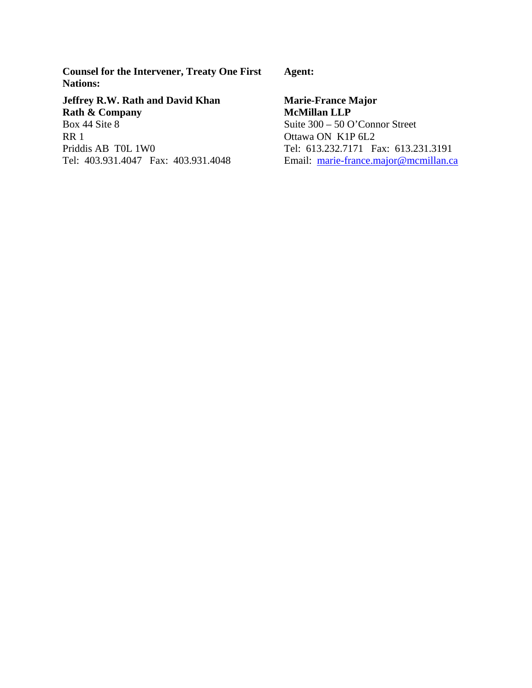**Counsel for the Intervener, Treaty One First Nations:** 

**Jeffrey R.W. Rath and David Khan Rath & Company**  Box 44 Site 8 RR 1 Priddis AB T0L 1W0 Tel: 403.931.4047 Fax: 403.931.4048  **Agent:** 

**Marie-France Major McMillan LLP** Suite 300 – 50 O'Connor Street Ottawa ON K1P 6L2 Tel: 613.232.7171 Fax: 613.231.3191 Email: marie-france.major@mcmillan.ca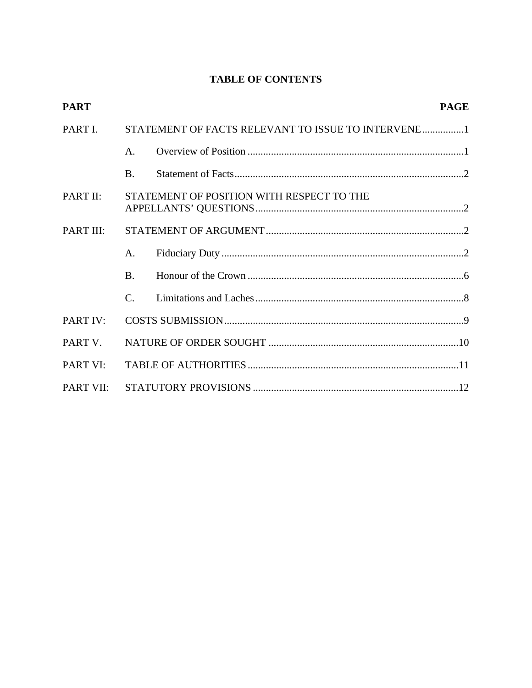# **TABLE OF CONTENTS**

| <b>PART</b> |                                                    |  | <b>PAGE</b> |  |
|-------------|----------------------------------------------------|--|-------------|--|
| PART I.     | STATEMENT OF FACTS RELEVANT TO ISSUE TO INTERVENE1 |  |             |  |
|             | $\mathsf{A}$ .                                     |  |             |  |
|             | <b>B.</b>                                          |  |             |  |
| PART II:    | STATEMENT OF POSITION WITH RESPECT TO THE          |  |             |  |
| PART III:   |                                                    |  |             |  |
|             | A.                                                 |  |             |  |
|             | <b>B.</b>                                          |  |             |  |
|             | $\mathcal{C}$ .                                    |  |             |  |
| PART IV:    |                                                    |  |             |  |
| PART V.     |                                                    |  |             |  |
| PART VI:    |                                                    |  |             |  |
| PART VII:   |                                                    |  |             |  |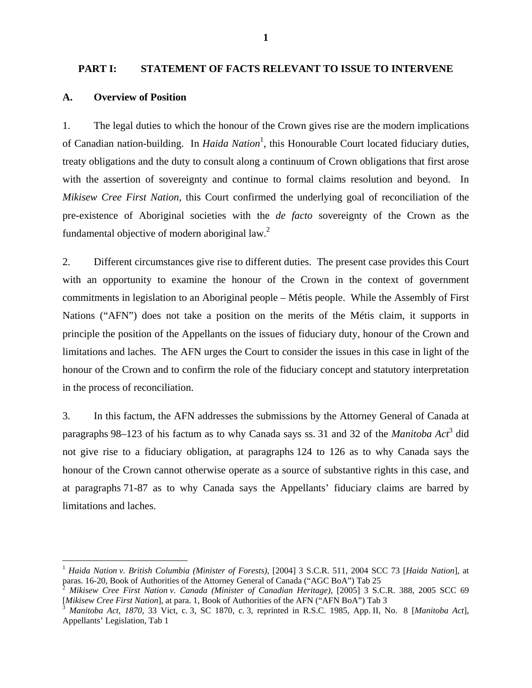#### **PART I: STATEMENT OF FACTS RELEVANT TO ISSUE TO INTERVENE**

#### **A. Overview of Position**

 $\overline{a}$ 

1. The legal duties to which the honour of the Crown gives rise are the modern implications of Canadian nation-building. In *Haida Nation*<sup>1</sup>, this Honourable Court located fiduciary duties, treaty obligations and the duty to consult along a continuum of Crown obligations that first arose with the assertion of sovereignty and continue to formal claims resolution and beyond. In *Mikisew Cree First Nation,* this Court confirmed the underlying goal of reconciliation of the pre-existence of Aboriginal societies with the *de facto* sovereignty of the Crown as the fundamental objective of modern aboriginal  $law<sup>2</sup>$ .

2. Different circumstances give rise to different duties. The present case provides this Court with an opportunity to examine the honour of the Crown in the context of government commitments in legislation to an Aboriginal people – Métis people. While the Assembly of First Nations ("AFN") does not take a position on the merits of the Métis claim, it supports in principle the position of the Appellants on the issues of fiduciary duty, honour of the Crown and limitations and laches. The AFN urges the Court to consider the issues in this case in light of the honour of the Crown and to confirm the role of the fiduciary concept and statutory interpretation in the process of reconciliation.

3. In this factum, the AFN addresses the submissions by the Attorney General of Canada at paragraphs 98–123 of his factum as to why Canada says ss. 31 and 32 of the *Manitoba Act*<sup>3</sup> did not give rise to a fiduciary obligation, at paragraphs 124 to 126 as to why Canada says the honour of the Crown cannot otherwise operate as a source of substantive rights in this case, and at paragraphs 71-87 as to why Canada says the Appellants' fiduciary claims are barred by limitations and laches.

<sup>1</sup> *Haida Nation v. British Columbia (Minister of Forests)*, [2004] 3 S.C.R. 511, 2004 SCC 73 [*Haida Nation*], at paras. 16-20, Book of Authorities of the Attorney General of Canada ("AGC BoA") Tab 25<br><sup>2</sup> *Mikisew Cree First Nation v. Canada (Minister of Canadian Heritage)*, [2005] 3 S.C.R. 388, 2005 SCC 69

<sup>[</sup>*Mikisew Cree First Nation*], at para. 1, Book of Authorities of the AFN ("AFN BoA") Tab 3<br><sup>3</sup> *Manitoba Act, 1870*, 33 Vict, c. 3, SC 1870, c. 3, reprinted in R.S.C. 1985, App. II, No. 8 [*Manitoba Act*],

Appellants' Legislation, Tab 1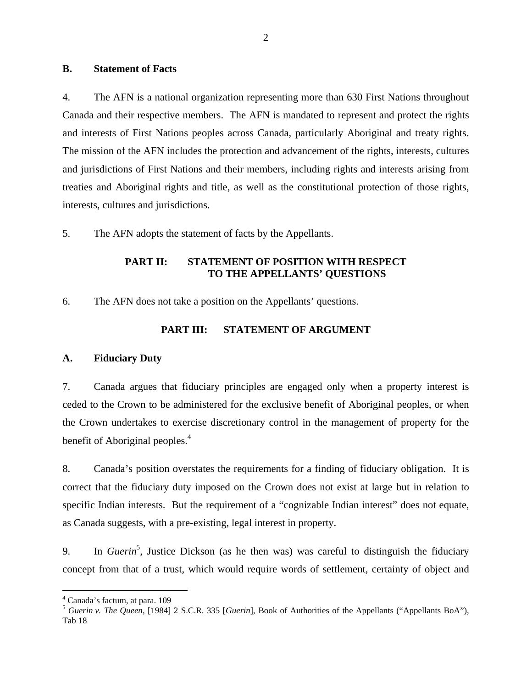### **B. Statement of Facts**

4. The AFN is a national organization representing more than 630 First Nations throughout Canada and their respective members. The AFN is mandated to represent and protect the rights and interests of First Nations peoples across Canada, particularly Aboriginal and treaty rights. The mission of the AFN includes the protection and advancement of the rights, interests, cultures and jurisdictions of First Nations and their members, including rights and interests arising from treaties and Aboriginal rights and title, as well as the constitutional protection of those rights, interests, cultures and jurisdictions.

5. The AFN adopts the statement of facts by the Appellants.

### **PART II: STATEMENT OF POSITION WITH RESPECT TO THE APPELLANTS' QUESTIONS**

6. The AFN does not take a position on the Appellants' questions.

### **PART III: STATEMENT OF ARGUMENT**

### **A. Fiduciary Duty**

7. Canada argues that fiduciary principles are engaged only when a property interest is ceded to the Crown to be administered for the exclusive benefit of Aboriginal peoples, or when the Crown undertakes to exercise discretionary control in the management of property for the benefit of Aboriginal peoples.<sup>4</sup>

8. Canada's position overstates the requirements for a finding of fiduciary obligation. It is correct that the fiduciary duty imposed on the Crown does not exist at large but in relation to specific Indian interests. But the requirement of a "cognizable Indian interest" does not equate, as Canada suggests, with a pre-existing, legal interest in property.

9. In *Guerin*<sup>5</sup>, Justice Dickson (as he then was) was careful to distinguish the fiduciary concept from that of a trust, which would require words of settlement, certainty of object and

<sup>4</sup> Canada's factum, at para. 109

<sup>5</sup> *Guerin v. The Queen,* [1984] 2 S.C.R. 335 [*Guerin*], Book of Authorities of the Appellants ("Appellants BoA"), Tab 18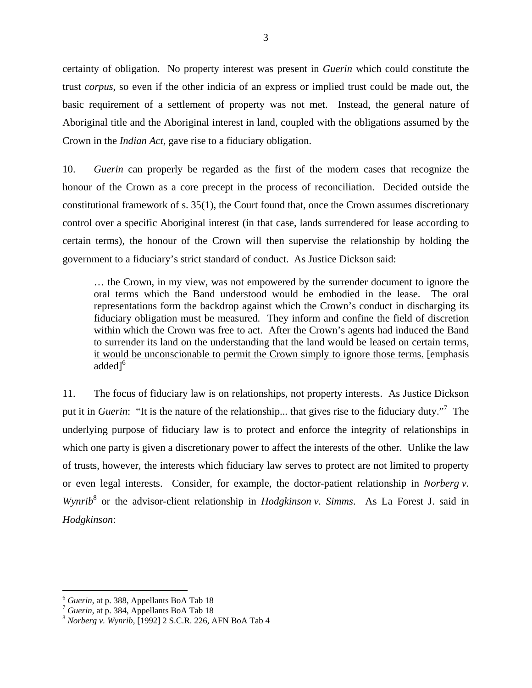certainty of obligation. No property interest was present in *Guerin* which could constitute the trust *corpus*, so even if the other indicia of an express or implied trust could be made out, the basic requirement of a settlement of property was not met. Instead, the general nature of Aboriginal title and the Aboriginal interest in land, coupled with the obligations assumed by the Crown in the *Indian Act,* gave rise to a fiduciary obligation.

10. *Guerin* can properly be regarded as the first of the modern cases that recognize the honour of the Crown as a core precept in the process of reconciliation. Decided outside the constitutional framework of s. 35(1), the Court found that, once the Crown assumes discretionary control over a specific Aboriginal interest (in that case, lands surrendered for lease according to certain terms), the honour of the Crown will then supervise the relationship by holding the government to a fiduciary's strict standard of conduct. As Justice Dickson said:

… the Crown, in my view, was not empowered by the surrender document to ignore the oral terms which the Band understood would be embodied in the lease. The oral representations form the backdrop against which the Crown's conduct in discharging its fiduciary obligation must be measured. They inform and confine the field of discretion within which the Crown was free to act. After the Crown's agents had induced the Band to surrender its land on the understanding that the land would be leased on certain terms, it would be unconscionable to permit the Crown simply to ignore those terms. [emphasis added<sup>1</sup>

11. The focus of fiduciary law is on relationships, not property interests. As Justice Dickson put it in *Guerin*: "It is the nature of the relationship... that gives rise to the fiduciary duty."7 The underlying purpose of fiduciary law is to protect and enforce the integrity of relationships in which one party is given a discretionary power to affect the interests of the other. Unlike the law of trusts, however, the interests which fiduciary law serves to protect are not limited to property or even legal interests. Consider, for example, the doctor-patient relationship in *Norberg v.*  Wynrib<sup>8</sup> or the advisor-client relationship in *Hodgkinson v. Simms*. As La Forest J. said in *Hodgkinson*:

1

<sup>&</sup>lt;sup>6</sup> *Guerin*, at p. 388, Appellants BoA Tab 18<br><sup>7</sup> *Guerin*, at p. 384, Appellants BoA Tab 18<br><sup>8</sup> *Norberg v. Wynrib*, [1992] 2 S.C.R. 226, AFN BoA Tab 4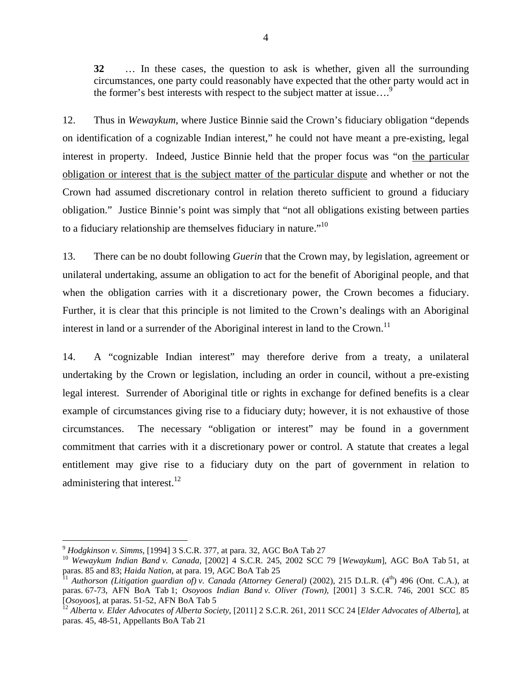**32** … In these cases, the question to ask is whether, given all the surrounding circumstances, one party could reasonably have expected that the other party would act in the former's best interests with respect to the subject matter at issue....<sup>9</sup>

12. Thus in *Wewaykum*, where Justice Binnie said the Crown's fiduciary obligation "depends on identification of a cognizable Indian interest," he could not have meant a pre-existing, legal interest in property. Indeed, Justice Binnie held that the proper focus was "on the particular obligation or interest that is the subject matter of the particular dispute and whether or not the Crown had assumed discretionary control in relation thereto sufficient to ground a fiduciary obligation." Justice Binnie's point was simply that "not all obligations existing between parties to a fiduciary relationship are themselves fiduciary in nature. $10$ 

13. There can be no doubt following *Guerin* that the Crown may, by legislation, agreement or unilateral undertaking, assume an obligation to act for the benefit of Aboriginal people, and that when the obligation carries with it a discretionary power, the Crown becomes a fiduciary. Further, it is clear that this principle is not limited to the Crown's dealings with an Aboriginal interest in land or a surrender of the Aboriginal interest in land to the Crown.<sup>11</sup>

14. A "cognizable Indian interest" may therefore derive from a treaty, a unilateral undertaking by the Crown or legislation, including an order in council, without a pre-existing legal interest. Surrender of Aboriginal title or rights in exchange for defined benefits is a clear example of circumstances giving rise to a fiduciary duty; however, it is not exhaustive of those circumstances. The necessary "obligation or interest" may be found in a government commitment that carries with it a discretionary power or control. A statute that creates a legal entitlement may give rise to a fiduciary duty on the part of government in relation to administering that interest.<sup>12</sup>

<sup>&</sup>lt;sup>9</sup> *Hodgkinson v. Simms*, [1994] 3 S.C.R. 377, at para. 32, AGC BoA Tab 27<br><sup>10</sup> *Wewaykum Indian Band v. Canada*, [2002] 4 S.C.R. 245, 2002 SCC 79 [*Wewaykum*], AGC BoA Tab 51, at paras. 85 and 83; *Haida Nation*, at para

paras. 85 and 83; *Haidan Styremian Nation*, and 83; *Canada (Attorney General)* (2002), 215 D.L.R. (4<sup>th</sup>) 496 (Ont. C.A.), at paras. 67-73, AFN BoA Tab 1; *Osoyoos Indian Band v. Oliver (Town)*, [2001] 3 S.C.R. 746, 2001 SCC 85

<sup>&</sup>lt;sup>12</sup> Alberta v. Elder Advocates of Alberta Society, [2011] 2 S.C.R. 261, 2011 SCC 24 [*Elder Advocates of Alberta*], at paras. 45, 48-51, Appellants BoA Tab 21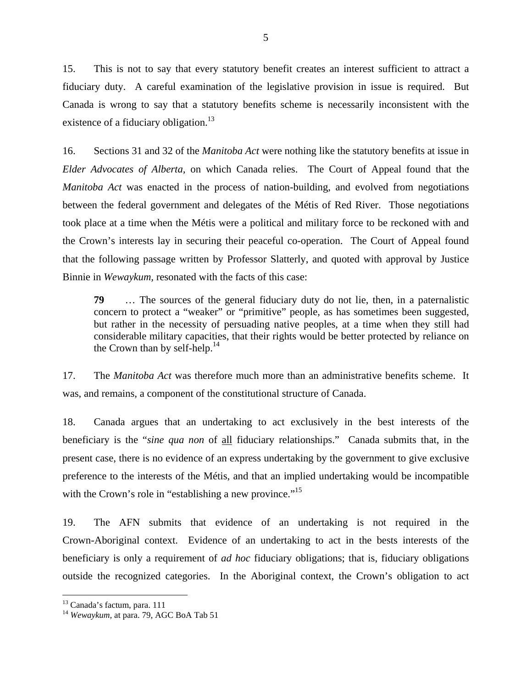15. This is not to say that every statutory benefit creates an interest sufficient to attract a fiduciary duty. A careful examination of the legislative provision in issue is required. But Canada is wrong to say that a statutory benefits scheme is necessarily inconsistent with the existence of a fiduciary obligation. $13$ 

16. Sections 31 and 32 of the *Manitoba Act* were nothing like the statutory benefits at issue in *Elder Advocates of Alberta,* on which Canada relies. The Court of Appeal found that the *Manitoba Act* was enacted in the process of nation-building, and evolved from negotiations between the federal government and delegates of the Métis of Red River. Those negotiations took place at a time when the Métis were a political and military force to be reckoned with and the Crown's interests lay in securing their peaceful co-operation. The Court of Appeal found that the following passage written by Professor Slatterly, and quoted with approval by Justice Binnie in *Wewaykum,* resonated with the facts of this case:

**79** … The sources of the general fiduciary duty do not lie, then, in a paternalistic concern to protect a "weaker" or "primitive" people, as has sometimes been suggested, but rather in the necessity of persuading native peoples, at a time when they still had considerable military capacities, that their rights would be better protected by reliance on the Crown than by self-help. $^{14}$ 

17. The *Manitoba Act* was therefore much more than an administrative benefits scheme. It was, and remains, a component of the constitutional structure of Canada.

18. Canada argues that an undertaking to act exclusively in the best interests of the beneficiary is the "*sine qua non* of all fiduciary relationships." Canada submits that, in the present case, there is no evidence of an express undertaking by the government to give exclusive preference to the interests of the Métis, and that an implied undertaking would be incompatible with the Crown's role in "establishing a new province."<sup>15</sup>

19. The AFN submits that evidence of an undertaking is not required in the Crown-Aboriginal context. Evidence of an undertaking to act in the bests interests of the beneficiary is only a requirement of *ad hoc* fiduciary obligations; that is, fiduciary obligations outside the recognized categories. In the Aboriginal context, the Crown's obligation to act

<sup>13</sup> Canada's factum, para. 111

<sup>14</sup> *Wewaykum,* at para. 79, AGC BoA Tab 51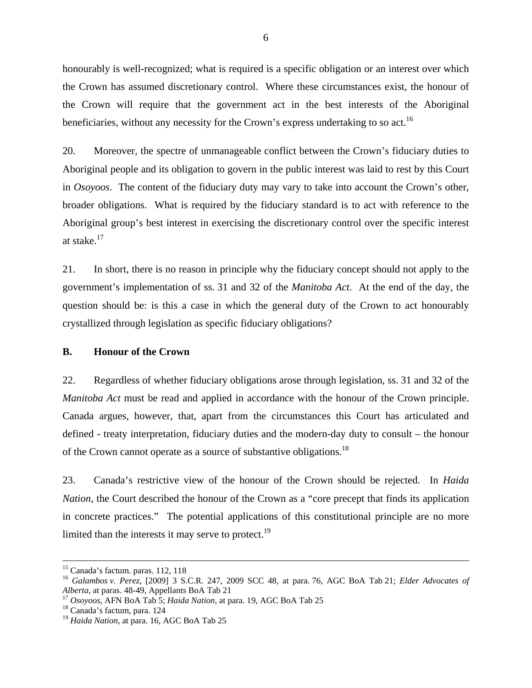honourably is well-recognized; what is required is a specific obligation or an interest over which the Crown has assumed discretionary control. Where these circumstances exist, the honour of the Crown will require that the government act in the best interests of the Aboriginal beneficiaries, without any necessity for the Crown's express undertaking to so act.<sup>16</sup>

20. Moreover, the spectre of unmanageable conflict between the Crown's fiduciary duties to Aboriginal people and its obligation to govern in the public interest was laid to rest by this Court in *Osoyoos*. The content of the fiduciary duty may vary to take into account the Crown's other, broader obligations. What is required by the fiduciary standard is to act with reference to the Aboriginal group's best interest in exercising the discretionary control over the specific interest at stake.17

21. In short, there is no reason in principle why the fiduciary concept should not apply to the government's implementation of ss. 31 and 32 of the *Manitoba Act*. At the end of the day, the question should be: is this a case in which the general duty of the Crown to act honourably crystallized through legislation as specific fiduciary obligations?

#### **B. Honour of the Crown**

22. Regardless of whether fiduciary obligations arose through legislation, ss. 31 and 32 of the *Manitoba Act* must be read and applied in accordance with the honour of the Crown principle. Canada argues, however, that, apart from the circumstances this Court has articulated and defined - treaty interpretation, fiduciary duties and the modern-day duty to consult – the honour of the Crown cannot operate as a source of substantive obligations.<sup>18</sup>

23. Canada's restrictive view of the honour of the Crown should be rejected. In *Haida Nation*, the Court described the honour of the Crown as a "core precept that finds its application in concrete practices." The potential applications of this constitutional principle are no more limited than the interests it may serve to protect.<sup>19</sup>

 <sup>15</sup> Canada's factum. paras. 112, 118

<sup>16</sup> *Galambos v. Perez*, [2009] 3 S.C.R. 247, 2009 SCC 48, at para. 76, AGC BoA Tab 21; *Elder Advocates of Alberta*, at paras. 48-49, Appellants BoA Tab 21<br><sup>17</sup> *Osoyoos*, AFN BoA Tab 5; *Haida Nation*, at para. 19, AGC BoA Tab 25<sup>18</sup> Canada's factum, para. 124

<sup>19</sup> *Haida Nation*, at para. 16, AGC BoA Tab 25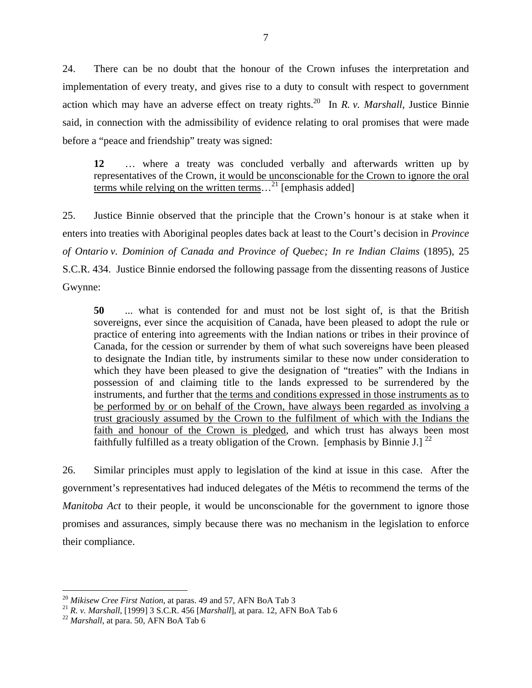24. There can be no doubt that the honour of the Crown infuses the interpretation and implementation of every treaty, and gives rise to a duty to consult with respect to government action which may have an adverse effect on treaty rights.20 In *R. v. Marshall,* Justice Binnie said, in connection with the admissibility of evidence relating to oral promises that were made before a "peace and friendship" treaty was signed:

**12** … where a treaty was concluded verbally and afterwards written up by representatives of the Crown, it would be unconscionable for the Crown to ignore the oral terms while relying on the written terms...<sup>21</sup> [emphasis added]

25. Justice Binnie observed that the principle that the Crown's honour is at stake when it enters into treaties with Aboriginal peoples dates back at least to the Court's decision in *Province of Ontario v. Dominion of Canada and Province of Quebec; In re Indian Claims* (1895), 25 S.C.R. 434. Justice Binnie endorsed the following passage from the dissenting reasons of Justice Gwynne:

**50** ... what is contended for and must not be lost sight of, is that the British sovereigns, ever since the acquisition of Canada, have been pleased to adopt the rule or practice of entering into agreements with the Indian nations or tribes in their province of Canada, for the cession or surrender by them of what such sovereigns have been pleased to designate the Indian title, by instruments similar to these now under consideration to which they have been pleased to give the designation of "treaties" with the Indians in possession of and claiming title to the lands expressed to be surrendered by the instruments, and further that the terms and conditions expressed in those instruments as to be performed by or on behalf of the Crown, have always been regarded as involving a trust graciously assumed by the Crown to the fulfilment of which with the Indians the faith and honour of the Crown is pledged, and which trust has always been most faithfully fulfilled as a treaty obligation of the Crown. [emphasis by Binnie J.]  $^{22}$ 

26. Similar principles must apply to legislation of the kind at issue in this case. After the government's representatives had induced delegates of the Métis to recommend the terms of the *Manitoba Act* to their people, it would be unconscionable for the government to ignore those promises and assurances, simply because there was no mechanism in the legislation to enforce their compliance.

1

<sup>&</sup>lt;sup>20</sup> *Mikisew Cree First Nation*, at paras. 49 and 57, AFN BoA Tab 3<br><sup>21</sup> *R. v. Marshall*, [1999] 3 S.C.R. 456 [*Marshall*], at para. 12, AFN BoA Tab 6 <sup>22</sup> *Marshall*, at para. 50, AFN BoA Tab 6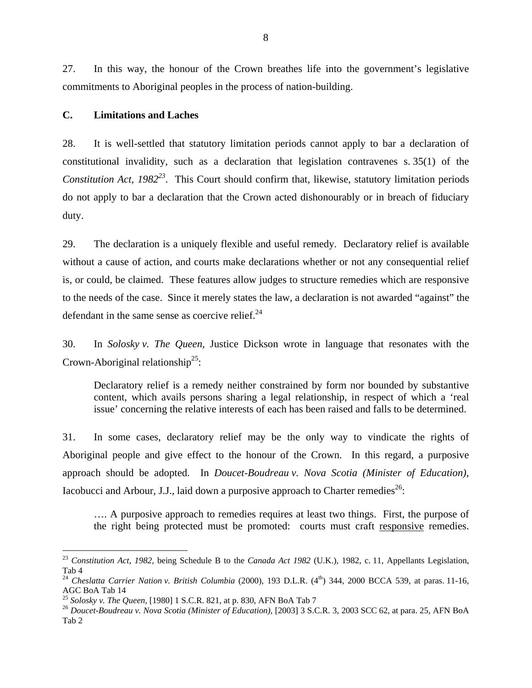27. In this way, the honour of the Crown breathes life into the government's legislative commitments to Aboriginal peoples in the process of nation-building.

#### **C. Limitations and Laches**

28. It is well-settled that statutory limitation periods cannot apply to bar a declaration of constitutional invalidity, such as a declaration that legislation contravenes s. 35(1) of the *Constitution Act, 1982<sup>23</sup>*. This Court should confirm that, likewise, statutory limitation periods do not apply to bar a declaration that the Crown acted dishonourably or in breach of fiduciary duty.

29. The declaration is a uniquely flexible and useful remedy. Declaratory relief is available without a cause of action, and courts make declarations whether or not any consequential relief is, or could, be claimed. These features allow judges to structure remedies which are responsive to the needs of the case. Since it merely states the law, a declaration is not awarded "against" the defendant in the same sense as coercive relief. $^{24}$ 

30. In *Solosky v. The Queen,* Justice Dickson wrote in language that resonates with the Crown-Aboriginal relationship<sup>25</sup>:

Declaratory relief is a remedy neither constrained by form nor bounded by substantive content, which avails persons sharing a legal relationship, in respect of which a 'real issue' concerning the relative interests of each has been raised and falls to be determined.

31. In some cases, declaratory relief may be the only way to vindicate the rights of Aboriginal people and give effect to the honour of the Crown. In this regard, a purposive approach should be adopted. In *Doucet-Boudreau v. Nova Scotia (Minister of Education),* Iacobucci and Arbour, J.J., laid down a purposive approach to Charter remedies<sup>26</sup>:

…. A purposive approach to remedies requires at least two things. First, the purpose of the right being protected must be promoted: courts must craft responsive remedies.

<sup>23</sup> *Constitution Act, 1982*, being Schedule B to the *Canada Act 1982* (U.K.), 1982, c. 11, Appellants Legislation, Tab 4

<sup>&</sup>lt;sup>24</sup> Cheslatta Carrier Nation v. British Columbia (2000), 193 D.L.R. (4<sup>th</sup>) 344, 2000 BCCA 539, at paras. 11-16, AGC BoA Tab 14<br><sup>25</sup> Solosky v. The Queen, [1980] 1 S.C.R. 821, at p. 830, AFN BoA Tab 7

<sup>&</sup>lt;sup>26</sup> Doucet-Boudreau v. Nova Scotia (Minister of Education), [2003] 3 S.C.R. 3, 2003 SCC 62, at para. 25, AFN BoA Tab 2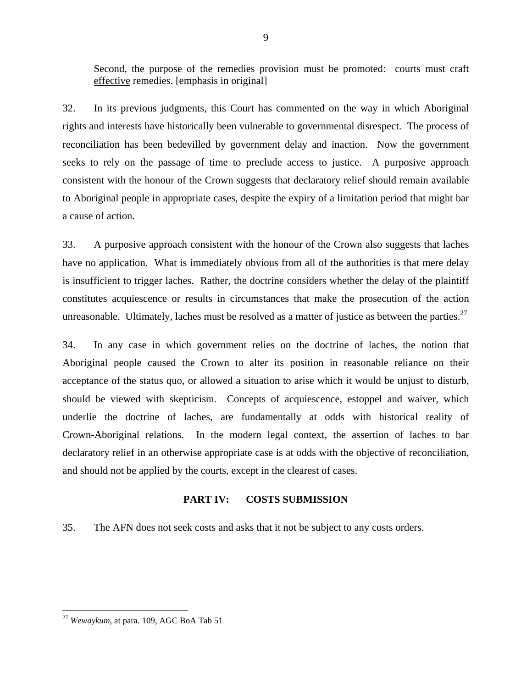Second, the purpose of the remedies provision must be promoted: courts must craft effective remedies. [emphasis in original]

32. In its previous judgments, this Court has commented on the way in which Aboriginal rights and interests have historically been vulnerable to governmental disrespect. The process of reconciliation has been bedevilled by government delay and inaction. Now the government seeks to rely on the passage of time to preclude access to justice. A purposive approach consistent with the honour of the Crown suggests that declaratory relief should remain available to Aboriginal people in appropriate cases, despite the expiry of a limitation period that might bar a cause of action.

33. A purposive approach consistent with the honour of the Crown also suggests that laches have no application. What is immediately obvious from all of the authorities is that mere delay is insufficient to trigger laches. Rather, the doctrine considers whether the delay of the plaintiff constitutes acquiescence or results in circumstances that make the prosecution of the action unreasonable. Ultimately, laches must be resolved as a matter of justice as between the parties.<sup>27</sup>

34. In any case in which government relies on the doctrine of laches, the notion that Aboriginal people caused the Crown to alter its position in reasonable reliance on their acceptance of the status quo, or allowed a situation to arise which it would be unjust to disturb, should be viewed with skepticism. Concepts of acquiescence, estoppel and waiver, which underlie the doctrine of laches, are fundamentally at odds with historical reality of Crown-Aboriginal relations. In the modern legal context, the assertion of laches to bar declaratory relief in an otherwise appropriate case is at odds with the objective of reconciliation, and should not be applied by the courts, except in the clearest of cases.

### **PART IV: COSTS SUBMISSION**

35. The AFN does not seek costs and asks that it not be subject to any costs orders.

<sup>&</sup>lt;u>.</u> <sup>27</sup> *Wewaykum*, at para. 109, AGC BoA Tab 51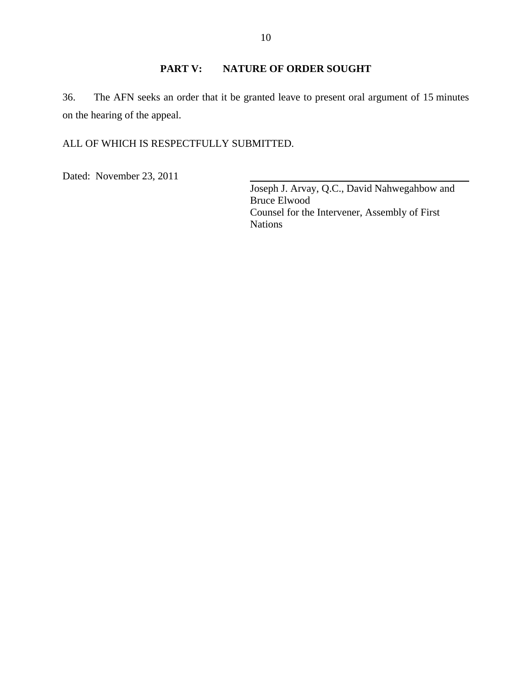# **PART V: NATURE OF ORDER SOUGHT**

36. The AFN seeks an order that it be granted leave to present oral argument of 15 minutes on the hearing of the appeal.

## ALL OF WHICH IS RESPECTFULLY SUBMITTED.

Dated: November 23, 2011

Joseph J. Arvay, Q.C., David Nahwegahbow and Bruce Elwood Counsel for the Intervener, Assembly of First Nations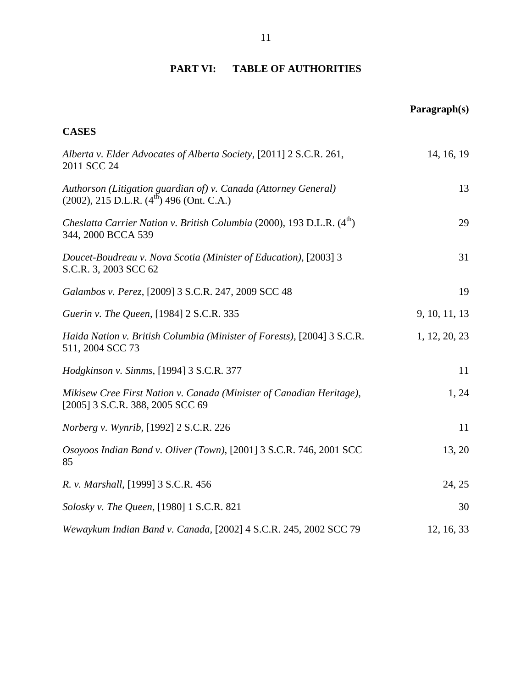#### **PART VI: TABLE OF AUTHORITIES**

# **Paragraph(s) CASES**  *Alberta v. Elder Advocates of Alberta Society*, [2011] 2 S.C.R. 261, 2011 SCC 24 14, 16, 19 *Authorson (Litigation guardian of) v. Canada (Attorney General)*  $(2002)$ , 215 D.L.R.  $(4^{th})$  496 (Ont. C.A.) 13 *Cheslatta Carrier Nation v. British Columbia* (2000), 193 D.L.R. (4<sup>th</sup>) 344, 2000 BCCA 539 29 *Doucet-Boudreau v. Nova Scotia (Minister of Education)*, [2003] 3 S.C.R. 3, 2003 SCC 62 31 *Galambos v. Perez*, [2009] 3 S.C.R. 247, 2009 SCC 48 19 *Guerin v. The Queen,* [1984] 2 S.C.R. 335 9, 10, 11, 13 *Haida Nation v. British Columbia (Minister of Forests)*, [2004] 3 S.C.R. 511, 2004 SCC 73 1, 12, 20, 23 *Hodgkinson v. Simms*, [1994] 3 S.C.R. 377 11 *Mikisew Cree First Nation v. Canada (Minister of Canadian Heritage)*, [2005] 3 S.C.R. 388, 2005 SCC 69 1, 24 *Norberg v. Wynrib*, [1992] 2 S.C.R. 226 11 *Osoyoos Indian Band v. Oliver (Town)*, [2001] 3 S.C.R. 746, 2001 SCC 85 13, 20 *R. v. Marshall*, [1999] 3 S.C.R. 456 24, 25 *Solosky v. The Queen*, [1980] 1 S.C.R. 821 30 *Wewaykum Indian Band v. Canada,* [2002] 4 S.C.R. 245, 2002 SCC 79 12, 16, 33